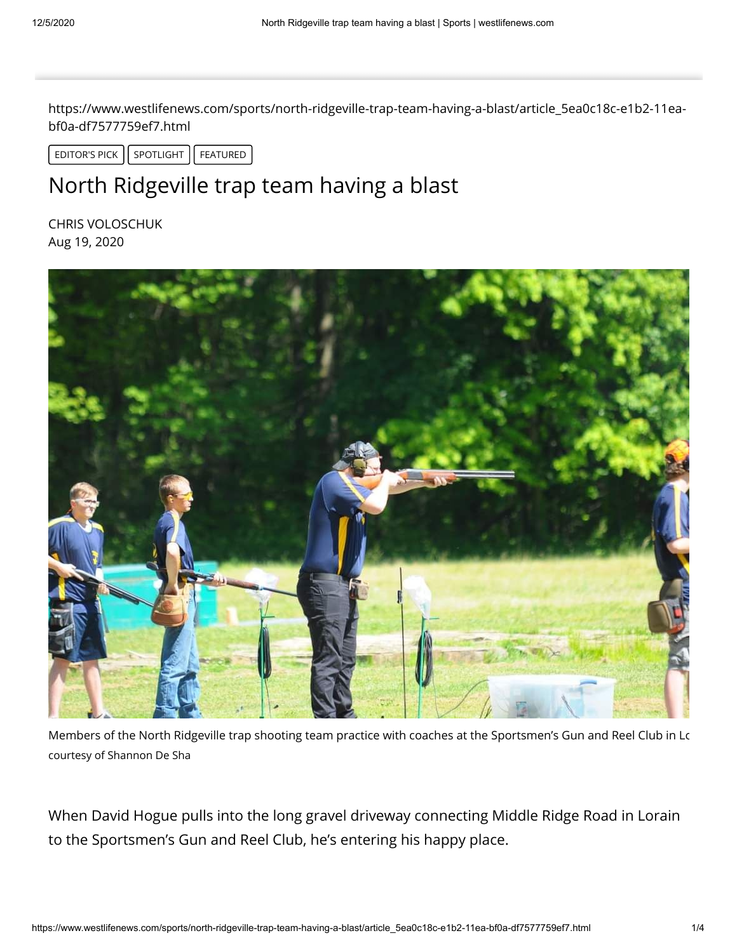https://www.westlifenews.com/sports/north-ridgeville-trap-team-having-a-blast/article\_5ea0c18c-e1b2-11eabf0a-df7577759ef7.html

EDITOR'S PICK  $\left| \right|$  SPOTLIGHT  $\left| \right|$  FEATURED  $\left| \right|$ 

## North Ridgeville trap team having a blast

CHRIS VOLOSCHUK Aug 19, 2020



Members of the North Ridgeville trap shooting team practice with coaches at the Sportsmen's Gun and Reel Club in Lo courtesy of Shannon De Sha

When David Hogue pulls into the long gravel driveway connecting Middle Ridge Road in Lorain to the Sportsmen's Gun and Reel Club, he's entering his happy place.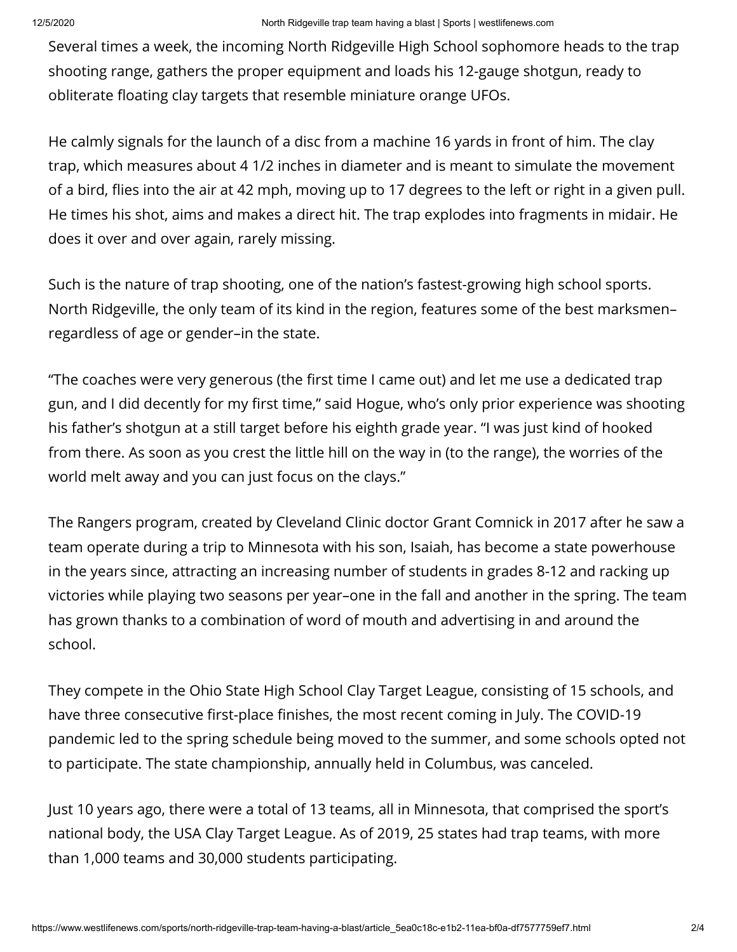Several times a week, the incoming North Ridgeville High School sophomore heads to the trap shooting range, gathers the proper equipment and loads his 12-gauge shotgun, ready to obliterate floating clay targets that resemble miniature orange UFOs.

He calmly signals for the launch of a disc from a machine 16 yards in front of him. The clay trap, which measures about 4 1/2 inches in diameter and is meant to simulate the movement of a bird, flies into the air at 42 mph, moving up to 17 degrees to the left or right in a given pull. He times his shot, aims and makes a direct hit. The trap explodes into fragments in midair. He does it over and over again, rarely missing.

Such is the nature of trap shooting, one of the nation's fastest-growing high school sports. North Ridgeville, the only team of its kind in the region, features some of the best marksmen– regardless of age or gender–in the state.

"The coaches were very generous (the first time I came out) and let me use a dedicated trap gun, and I did decently for my first time," said Hogue, who's only prior experience was shooting his father's shotgun at a still target before his eighth grade year. "I was just kind of hooked from there. As soon as you crest the little hill on the way in (to the range), the worries of the world melt away and you can just focus on the clays."

The Rangers program, created by Cleveland Clinic doctor Grant Comnick in 2017 after he saw a team operate during a trip to Minnesota with his son, Isaiah, has become a state powerhouse in the years since, attracting an increasing number of students in grades 8-12 and racking up victories while playing two seasons per year–one in the fall and another in the spring. The team has grown thanks to a combination of word of mouth and advertising in and around the school.

They compete in the Ohio State High School Clay Target League, consisting of 15 schools, and have three consecutive first-place finishes, the most recent coming in July. The COVID-19 pandemic led to the spring schedule being moved to the summer, and some schools opted not to participate. The state championship, annually held in Columbus, was canceled.

Just 10 years ago, there were a total of 13 teams, all in Minnesota, that comprised the sport's national body, the USA Clay Target League. As of 2019, 25 states had trap teams, with more than 1,000 teams and 30,000 students participating.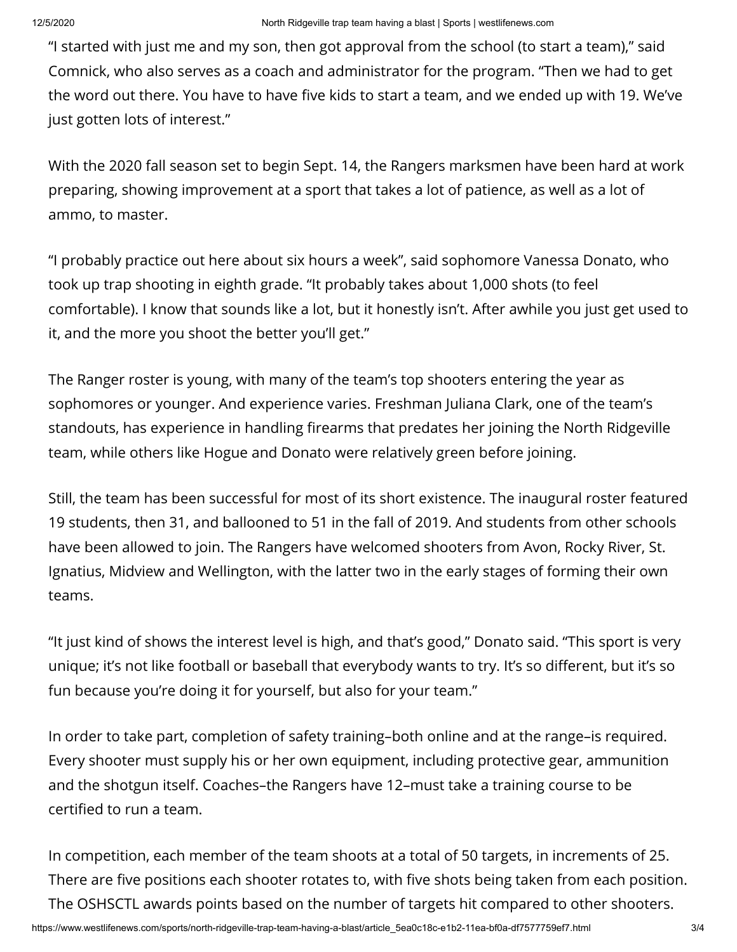"I started with just me and my son, then got approval from the school (to start a team)," said Comnick, who also serves as a coach and administrator for the program. "Then we had to get the word out there. You have to have five kids to start a team, and we ended up with 19. We've just gotten lots of interest."

With the 2020 fall season set to begin Sept. 14, the Rangers marksmen have been hard at work preparing, showing improvement at a sport that takes a lot of patience, as well as a lot of ammo, to master.

"I probably practice out here about six hours a week", said sophomore Vanessa Donato, who took up trap shooting in eighth grade. "It probably takes about 1,000 shots (to feel comfortable). I know that sounds like a lot, but it honestly isn't. After awhile you just get used to it, and the more you shoot the better you'll get."

The Ranger roster is young, with many of the team's top shooters entering the year as sophomores or younger. And experience varies. Freshman Juliana Clark, one of the team's standouts, has experience in handling firearms that predates her joining the North Ridgeville team, while others like Hogue and Donato were relatively green before joining.

Still, the team has been successful for most of its short existence. The inaugural roster featured 19 students, then 31, and ballooned to 51 in the fall of 2019. And students from other schools have been allowed to join. The Rangers have welcomed shooters from Avon, Rocky River, St. Ignatius, Midview and Wellington, with the latter two in the early stages of forming their own teams.

"It just kind of shows the interest level is high, and that's good," Donato said. "This sport is very unique; it's not like football or baseball that everybody wants to try. It's so different, but it's so fun because you're doing it for yourself, but also for your team."

In order to take part, completion of safety training–both online and at the range–is required. Every shooter must supply his or her own equipment, including protective gear, ammunition and the shotgun itself. Coaches–the Rangers have 12–must take a training course to be certified to run a team.

In competition, each member of the team shoots at a total of 50 targets, in increments of 25. There are five positions each shooter rotates to, with five shots being taken from each position. The OSHSCTL awards points based on the number of targets hit compared to other shooters.